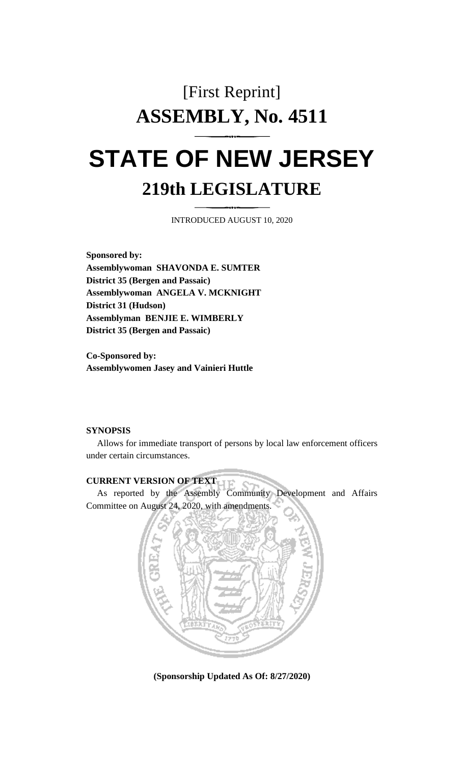## [First Reprint] **ASSEMBLY, No. 4511 STATE OF NEW JERSEY 219th LEGISLATURE**

INTRODUCED AUGUST 10, 2020

**Sponsored by: Assemblywoman SHAVONDA E. SUMTER District 35 (Bergen and Passaic) Assemblywoman ANGELA V. MCKNIGHT District 31 (Hudson) Assemblyman BENJIE E. WIMBERLY District 35 (Bergen and Passaic)**

**Co-Sponsored by: Assemblywomen Jasey and Vainieri Huttle**

## **SYNOPSIS**

Allows for immediate transport of persons by local law enforcement officers under certain circumstances.

## **CURRENT VERSION OF TEXT**

As reported by the Assembly Community Development and Affairs Committee on August 24, 2020, with amendments.



**(Sponsorship Updated As Of: 8/27/2020)**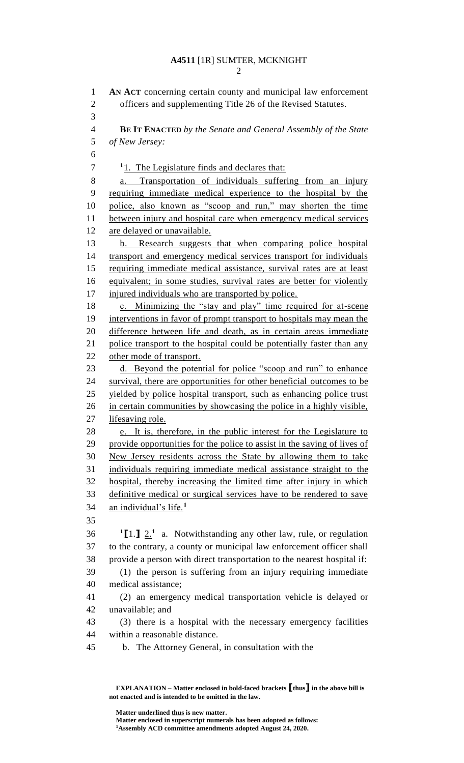## **A4511** [1R] SUMTER, MCKNIGHT

 **AN ACT** concerning certain county and municipal law enforcement officers and supplementing Title 26 of the Revised Statutes. **BE IT ENACTED** *by the Senate and General Assembly of the State of New Jersey:* <sup>1</sup><sub>1</sub>. The Legislature finds and declares that: a. Transportation of individuals suffering from an injury requiring immediate medical experience to the hospital by the police, also known as "scoop and run," may shorten the time 11 between injury and hospital care when emergency medical services are delayed or unavailable. b. Research suggests that when comparing police hospital transport and emergency medical services transport for individuals requiring immediate medical assistance, survival rates are at least equivalent; in some studies, survival rates are better for violently injured individuals who are transported by police. 18 c. Minimizing the "stay and play" time required for at-scene 19 interventions in favor of prompt transport to hospitals may mean the difference between life and death, as in certain areas immediate 21 police transport to the hospital could be potentially faster than any other mode of transport. d. Beyond the potential for police "scoop and run" to enhance survival, there are opportunities for other beneficial outcomes to be yielded by police hospital transport, such as enhancing police trust in certain communities by showcasing the police in a highly visible, lifesaving role. e. It is, therefore, in the public interest for the Legislature to provide opportunities for the police to assist in the saving of lives of New Jersey residents across the State by allowing them to take individuals requiring immediate medical assistance straight to the hospital, thereby increasing the limited time after injury in which definitive medical or surgical services have to be rendered to save an individual's life.**<sup>1</sup>**  $11 \cdot 12$ <sup>1</sup> a. Notwithstanding any other law, rule, or regulation to the contrary, a county or municipal law enforcement officer shall provide a person with direct transportation to the nearest hospital if: (1) the person is suffering from an injury requiring immediate medical assistance; (2) an emergency medical transportation vehicle is delayed or unavailable; and (3) there is a hospital with the necessary emergency facilities within a reasonable distance. b. The Attorney General, in consultation with the

**EXPLANATION – Matter enclosed in bold-faced brackets [thus] in the above bill is not enacted and is intended to be omitted in the law.**

**Matter underlined thus is new matter.**

**Matter enclosed in superscript numerals has been adopted as follows: Assembly ACD committee amendments adopted August 24, 2020.**